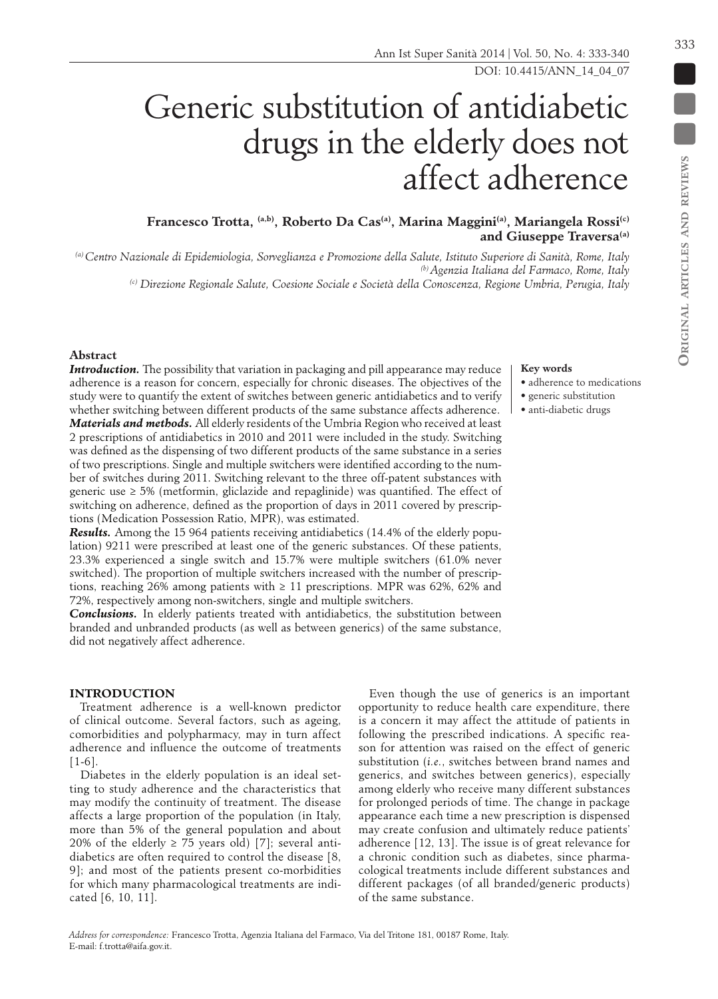# **Francesco Trotta, (a,b), Roberto Da Cas(a), Marina Maggini(a), Mariangela Rossi(c)** and Giuseppe Traversa<sup>(a)</sup>

Generic substitution of antidiabetic

*(a) Centro Nazionale di Epidemiologia, Sorveglianza e Promozione della Salute, Istituto Superiore di Sanità, Rome, Italy (b) Agenzia Italiana del Farmaco, Rome, Italy*

*(c) Direzione Regionale Salute, Coesione Sociale e Società della Conoscenza, Regione Umbria, Perugia, Italy*

## **Abstract**

**Introduction.** The possibility that variation in packaging and pill appearance may reduce adherence is a reason for concern, especially for chronic diseases. The objectives of the study were to quantify the extent of switches between generic antidiabetics and to verify whether switching between different products of the same substance affects adherence. *Materials and methods.* All elderly residents of the Umbria Region who received at least 2 prescriptions of antidiabetics in 2010 and 2011 were included in the study. Switching was defined as the dispensing of two different products of the same substance in a series of two prescriptions. Single and multiple switchers were identified according to the number of switches during 2011. Switching relevant to the three off-patent substances with generic use  $\geq 5\%$  (metformin, gliclazide and repaglinide) was quantified. The effect of switching on adherence, defined as the proportion of days in 2011 covered by prescriptions (Medication Possession Ratio, MPR), was estimated.

*Results.* Among the 15 964 patients receiving antidiabetics (14.4% of the elderly population) 9211 were prescribed at least one of the generic substances. Of these patients, 23.3% experienced a single switch and 15.7% were multiple switchers (61.0% never switched). The proportion of multiple switchers increased with the number of prescriptions, reaching 26% among patients with  $\geq 11$  prescriptions. MPR was 62%, 62% and 72%, respectively among non-switchers, single and multiple switchers.

*Conclusions.* In elderly patients treated with antidiabetics, the substitution between branded and unbranded products (as well as between generics) of the same substance, did not negatively affect adherence.

## **INTRODUCTION**

Treatment adherence is a well-known predictor of clinical outcome. Several factors, such as ageing, comorbidities and polypharmacy, may in turn affect adherence and influence the outcome of treatments [1-6].

Diabetes in the elderly population is an ideal setting to study adherence and the characteristics that may modify the continuity of treatment. The disease affects a large proportion of the population (in Italy, more than 5% of the general population and about 20% of the elderly  $\geq$  75 years old) [7]; several antidiabetics are often required to control the disease [8, 9]; and most of the patients present co-morbidities for which many pharmacological treatments are indi-

Even though the use of generics is an important opportunity to reduce health care expenditure, there is a concern it may affect the attitude of patients in following the prescribed indications. A specific reason for attention was raised on the effect of generic substitution (*i.e.*, switches between brand names and generics, and switches between generics), especially among elderly who receive many different substances for prolonged periods of time. The change in package appearance each time a new prescription is dispensed may create confusion and ultimately reduce patients' adherence [12, 13]. The issue is of great relevance for a chronic condition such as diabetes, since pharmacological treatments include different substances and different packages (of all branded/generic products)

#### **Key words**

- adherence to medications
- generic substitution
- anti-diabetic drugs

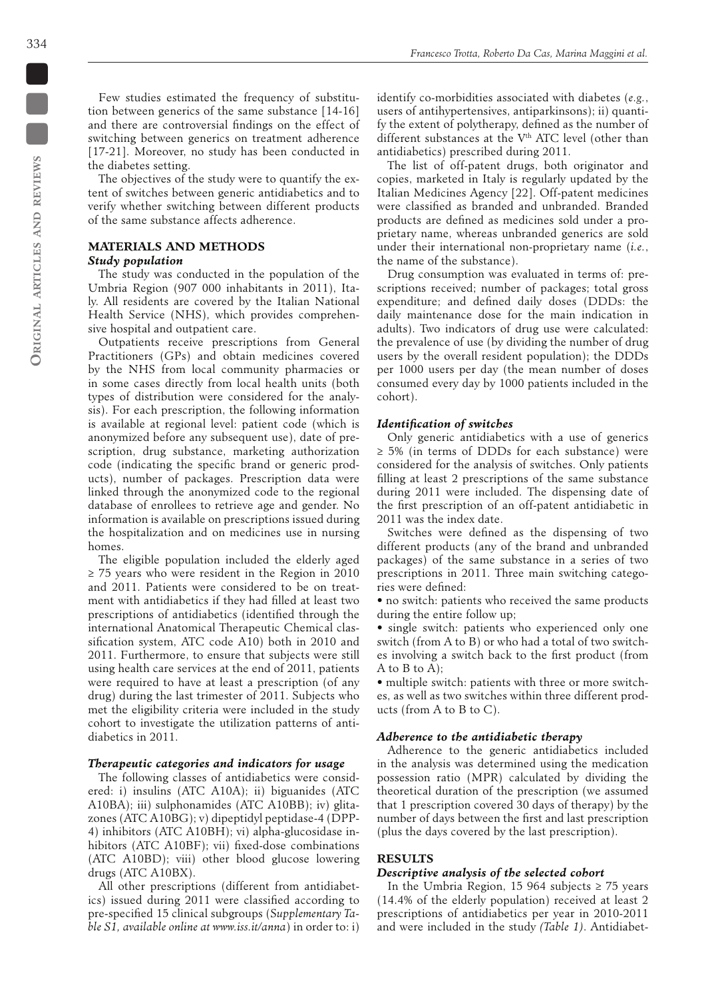Few studies estimated the frequency of substitution between generics of the same substance [14-16] and there are controversial findings on the effect of switching between generics on treatment adherence [17-21]. Moreover, no study has been conducted in the diabetes setting.

The objectives of the study were to quantify the extent of switches between generic antidiabetics and to verify whether switching between different products of the same substance affects adherence.

# **MATERIALS AND METHODS**

## *Study population*

The study was conducted in the population of the Umbria Region (907 000 inhabitants in 2011), Italy. All residents are covered by the Italian National Health Service (NHS), which provides comprehensive hospital and outpatient care.

Outpatients receive prescriptions from General Practitioners (GPs) and obtain medicines covered by the NHS from local community pharmacies or in some cases directly from local health units (both types of distribution were considered for the analysis). For each prescription, the following information is available at regional level: patient code (which is anonymized before any subsequent use), date of prescription, drug substance, marketing authorization code (indicating the specific brand or generic products), number of packages. Prescription data were linked through the anonymized code to the regional database of enrollees to retrieve age and gender. No information is available on prescriptions issued during the hospitalization and on medicines use in nursing homes.

The eligible population included the elderly aged ≥ 75 years who were resident in the Region in 2010 and 2011. Patients were considered to be on treatment with antidiabetics if they had filled at least two prescriptions of antidiabetics (identified through the international Anatomical Therapeutic Chemical classification system, ATC code A10) both in 2010 and 2011. Furthermore, to ensure that subjects were still using health care services at the end of 2011, patients were required to have at least a prescription (of any drug) during the last trimester of 2011. Subjects who met the eligibility criteria were included in the study cohort to investigate the utilization patterns of antidiabetics in 2011.

#### *Therapeutic categories and indicators for usage*

The following classes of antidiabetics were considered: i) insulins (ATC A10A); ii) biguanides (ATC A10BA); iii) sulphonamides (ATC A10BB); iv) glitazones (ATC A10BG); v) dipeptidyl peptidase-4 (DPP-4) inhibitors (ATC A10BH); vi) alpha-glucosidase inhibitors (ATC A10BF); vii) fixed-dose combinations (ATC A10BD); viii) other blood glucose lowering drugs (ATC A10BX).

All other prescriptions (different from antidiabetics) issued during 2011 were classified according to pre-specified 15 clinical subgroups (S*upplementary Table S1, available online at www.iss.it/anna*) in order to: i)

identify co-morbidities associated with diabetes (*e.g.*, users of antihypertensives, antiparkinsons); ii) quantify the extent of polytherapy, defined as the number of different substances at the V<sup>th</sup> ATC level (other than antidiabetics) prescribed during 2011.

The list of off-patent drugs, both originator and copies, marketed in Italy is regularly updated by the Italian Medicines Agency [22]. Off-patent medicines were classified as branded and unbranded. Branded products are defined as medicines sold under a proprietary name, whereas unbranded generics are sold under their international non-proprietary name (*i.e.*, the name of the substance).

Drug consumption was evaluated in terms of: prescriptions received; number of packages; total gross expenditure; and defined daily doses (DDDs: the daily maintenance dose for the main indication in adults). Two indicators of drug use were calculated: the prevalence of use (by dividing the number of drug users by the overall resident population); the DDDs per 1000 users per day (the mean number of doses consumed every day by 1000 patients included in the cohort).

### *Identification of switches*

Only generic antidiabetics with a use of generics ≥ 5% (in terms of DDDs for each substance) were considered for the analysis of switches. Only patients filling at least 2 prescriptions of the same substance during 2011 were included. The dispensing date of the first prescription of an off-patent antidiabetic in 2011 was the index date.

Switches were defined as the dispensing of two different products (any of the brand and unbranded packages) of the same substance in a series of two prescriptions in 2011. Three main switching categories were defined:

• no switch: patients who received the same products during the entire follow up;

• single switch: patients who experienced only one switch (from A to B) or who had a total of two switches involving a switch back to the first product (from A to B to A);

• multiple switch: patients with three or more switches, as well as two switches within three different products (from A to B to C).

## *Adherence to the antidiabetic therapy*

Adherence to the generic antidiabetics included in the analysis was determined using the medication possession ratio (MPR) calculated by dividing the theoretical duration of the prescription (we assumed that 1 prescription covered 30 days of therapy) by the number of days between the first and last prescription (plus the days covered by the last prescription).

### **RESULTS**

#### *Descriptive analysis of the selected cohort*

In the Umbria Region, 15 964 subjects ≥ 75 years (14.4% of the elderly population) received at least 2 prescriptions of antidiabetics per year in 2010-2011 and were included in the study *(Table 1)*. Antidiabet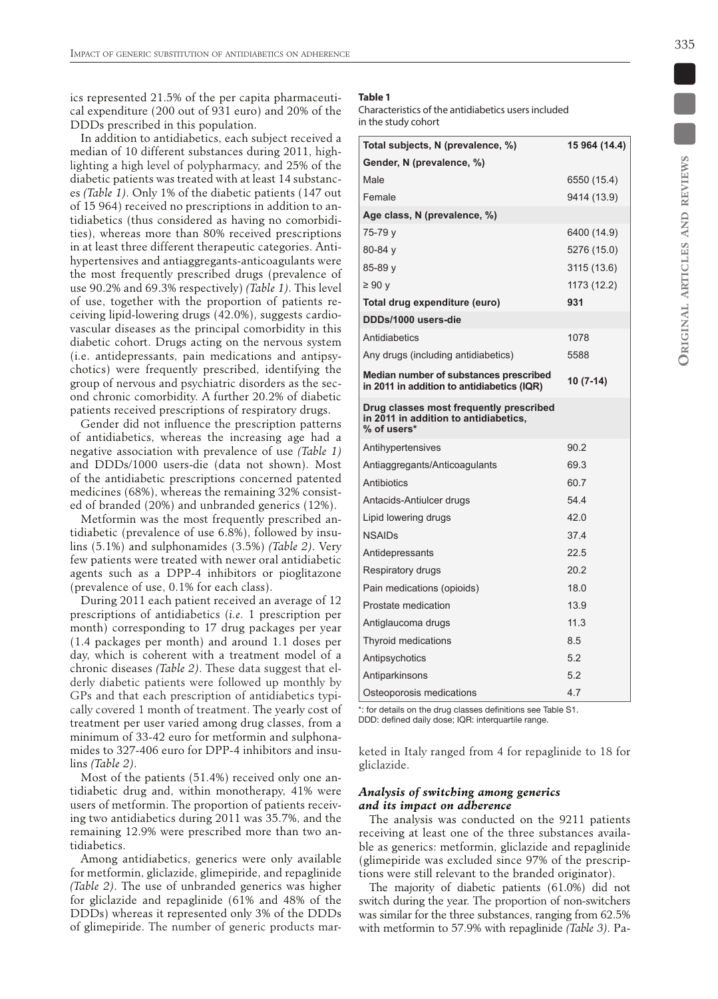ics represented 21.5% of the per capita pharmaceutical expenditure (200 out of 931 euro) and 20% of the DDDs prescribed in this population.

In addition to antidiabetics, each subject received a median of 10 different substances during 2011, highlighting a high level of polypharmacy, and 25% of the diabetic patients was treated with at least 14 substances *(Table 1)*. Only 1% of the diabetic patients (147 out of 15 964) received no prescriptions in addition to antidiabetics (thus considered as having no comorbidities), whereas more than 80% received prescriptions in at least three different therapeutic categories. Antihypertensives and antiaggregants-anticoagulants were the most frequently prescribed drugs (prevalence of use 90.2% and 69.3% respectively) *(Table 1)*. This level of use, together with the proportion of patients receiving lipid-lowering drugs (42.0%), suggests cardiovascular diseases as the principal comorbidity in this diabetic cohort. Drugs acting on the nervous system (i.e. antidepressants, pain medications and antipsychotics) were frequently prescribed, identifying the group of nervous and psychiatric disorders as the second chronic comorbidity. A further 20.2% of diabetic patients received prescriptions of respiratory drugs.

Gender did not influence the prescription patterns of antidiabetics, whereas the increasing age had a negative association with prevalence of use *(Table 1)*  and DDDs/1000 users-die (data not shown). Most of the antidiabetic prescriptions concerned patented medicines (68%), whereas the remaining 32% consisted of branded (20%) and unbranded generics (12%).

Metformin was the most frequently prescribed antidiabetic (prevalence of use 6.8%), followed by insulins (5.1%) and sulphonamides (3.5%) *(Table 2)*. Very few patients were treated with newer oral antidiabetic agents such as a DPP-4 inhibitors or pioglitazone (prevalence of use, 0.1% for each class).

During 2011 each patient received an average of 12 prescriptions of antidiabetics (*i.e.* 1 prescription per month) corresponding to 17 drug packages per year (1.4 packages per month) and around 1.1 doses per day, which is coherent with a treatment model of a chronic diseases *(Table 2)*. These data suggest that elderly diabetic patients were followed up monthly by GPs and that each prescription of antidiabetics typically covered 1 month of treatment. The yearly cost of treatment per user varied among drug classes, from a minimum of 33-42 euro for metformin and sulphonamides to 327-406 euro for DPP-4 inhibitors and insulins *(Table 2)*.

Most of the patients (51.4%) received only one antidiabetic drug and, within monotherapy, 41% were users of metformin. The proportion of patients receiving two antidiabetics during 2011 was 35.7%, and the remaining 12.9% were prescribed more than two antidiabetics.

Among antidiabetics, generics were only available for metformin, gliclazide, glimepiride, and repaglinide *(Table 2)*. The use of unbranded generics was higher for gliclazide and repaglinide (61% and 48% of the DDDs) whereas it represented only 3% of the DDDs of glimepiride. The number of generic products mar-

### **Table 1**

Characteristics of the antidiabetics users included in the study cohort

| Total subjects, N (prevalence, %)                                                               | 15 964 (14.4) |
|-------------------------------------------------------------------------------------------------|---------------|
| Gender, N (prevalence, %)                                                                       |               |
| Male                                                                                            | 6550 (15.4)   |
| Female                                                                                          | 9414 (13.9)   |
| Age class, N (prevalence, %)                                                                    |               |
| 75-79 y                                                                                         | 6400 (14.9)   |
| $80 - 84y$                                                                                      | 5276 (15.0)   |
| 85-89 y                                                                                         | 3115 (13.6)   |
| ≥ 90 y                                                                                          | 1173 (12.2)   |
| Total drug expenditure (euro)                                                                   | 931           |
| DDDs/1000 users-die                                                                             |               |
| Antidiabetics                                                                                   | 1078          |
| Any drugs (including antidiabetics)                                                             | 5588          |
| Median number of substances prescribed<br>in 2011 in addition to antidiabetics (IQR)            | 10 (7-14)     |
| Drug classes most frequently prescribed<br>in 2011 in addition to antidiabetics,<br>% of users* |               |
| Antihypertensives                                                                               | 90.2          |
| Antiaggregants/Anticoagulants                                                                   | 69.3          |
| Antibiotics                                                                                     | 60.7          |
| Antacids-Antiulcer drugs                                                                        | 54.4          |
| Lipid lowering drugs                                                                            | 42.0          |
| <b>NSAIDs</b>                                                                                   | 37.4          |
| Antidepressants                                                                                 | 22.5          |
| Respiratory drugs                                                                               | 20.2          |
| Pain medications (opioids)                                                                      | 18.0          |
| Prostate medication                                                                             | 13.9          |
| Antiglaucoma drugs                                                                              | 11.3          |
| Thyroid medications                                                                             | 8.5           |
| Antipsychotics                                                                                  | 5.2           |
| Antiparkinsons                                                                                  | 5.2           |
| Osteoporosis medications                                                                        | 4.7           |

\*: for details on the drug classes definitions see Table S1. DDD: defined daily dose; IQR: interquartile range.

keted in Italy ranged from 4 for repaglinide to 18 for gliclazide.

## *Analysis of switching among generics and its impact on adherence*

The analysis was conducted on the 9211 patients receiving at least one of the three substances available as generics: metformin, gliclazide and repaglinide (glimepiride was excluded since 97% of the prescriptions were still relevant to the branded originator).

The majority of diabetic patients (61.0%) did not switch during the year. The proportion of non-switchers was similar for the three substances, ranging from 62.5% with metformin to 57.9% with repaglinide *(Table 3)*. Pa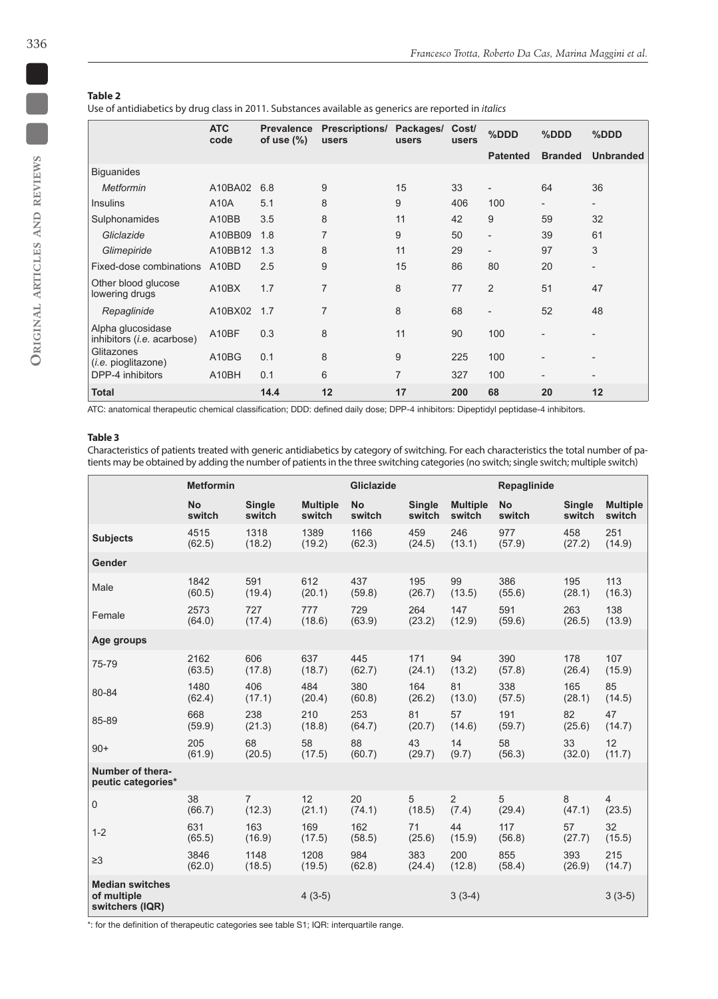e en

## **Table 2**

Use of antidiabetics by drug class in 2011. Substances available as generics are reported in *italics*

|                                                 | <b>ATC</b><br>code | <b>Prevalence</b><br>of use $(\%)$ | <b>Prescriptions/</b><br>users | Packages/<br>users | Cost/<br>users | %DDD                     | %DDD                     | %DDD                     |
|-------------------------------------------------|--------------------|------------------------------------|--------------------------------|--------------------|----------------|--------------------------|--------------------------|--------------------------|
|                                                 |                    |                                    |                                |                    |                | <b>Patented</b>          | <b>Branded</b>           | <b>Unbranded</b>         |
| <b>Biguanides</b>                               |                    |                                    |                                |                    |                |                          |                          |                          |
| <b>Metformin</b>                                | A10BA02            | 6.8                                | 9                              | 15                 | 33             | $\overline{\phantom{0}}$ | 64                       | 36                       |
| <b>Insulins</b>                                 | A10A               | 5.1                                | 8                              | 9                  | 406            | 100                      | $\overline{\phantom{0}}$ | $\overline{\phantom{a}}$ |
| Sulphonamides                                   | A10BB              | 3.5                                | 8                              | 11                 | 42             | 9                        | 59                       | 32                       |
| Gliclazide                                      | A10BB09            | 1.8                                | 7                              | 9                  | 50             | $\overline{\phantom{a}}$ | 39                       | 61                       |
| Glimepiride                                     | A10BB12            | 1.3                                | 8                              | 11                 | 29             |                          | 97                       | 3                        |
| Fixed-dose combinations                         | A <sub>10</sub> BD | 2.5                                | 9                              | 15                 | 86             | 80                       | 20                       | $\overline{a}$           |
| Other blood glucose<br>lowering drugs           | A10BX              | 1.7                                | $\overline{7}$                 | 8                  | 77             | $\overline{2}$           | 51                       | 47                       |
| Repaglinide                                     | A10BX02            | 1.7                                | $\overline{7}$                 | 8                  | 68             |                          | 52                       | 48                       |
| Alpha glucosidase<br>inhibitors (i.e. acarbose) | A10BF              | 0.3                                | 8                              | 11                 | 90             | 100                      |                          |                          |
| Glitazones<br>( <i>i.e.</i> pioglitazone)       | A10BG              | 0.1                                | 8                              | 9                  | 225            | 100                      |                          |                          |
| DPP-4 inhibitors                                | A10BH              | 0.1                                | 6                              | 7                  | 327            | 100                      |                          | $\overline{a}$           |
| <b>Total</b>                                    |                    | 14.4                               | 12                             | 17                 | 200            | 68                       | 20                       | 12                       |

ATC: anatomical therapeutic chemical classification; DDD: defined daily dose; DPP-4 inhibitors: Dipeptidyl peptidase-4 inhibitors.

## **Table 3**

Characteristics of patients treated with generic antidiabetics by category of switching. For each characteristics the total number of patients may be obtained by adding the number of patients in the three switching categories (no switch; single switch; multiple switch)

|                                                          | <b>Metformin</b> |                |                 | <b>Gliclazide</b> |               |                 | Repaglinide |               |                 |
|----------------------------------------------------------|------------------|----------------|-----------------|-------------------|---------------|-----------------|-------------|---------------|-----------------|
|                                                          | <b>No</b>        | <b>Single</b>  | <b>Multiple</b> | <b>No</b>         | <b>Single</b> | <b>Multiple</b> | <b>No</b>   | <b>Single</b> | <b>Multiple</b> |
|                                                          | switch           | switch         | switch          | switch            | switch        | switch          | switch      | switch        | switch          |
| <b>Subjects</b>                                          | 4515             | 1318           | 1389            | 1166              | 459           | 246             | 977         | 458           | 251             |
|                                                          | (62.5)           | (18.2)         | (19.2)          | (62.3)            | (24.5)        | (13.1)          | (57.9)      | (27.2)        | (14.9)          |
| <b>Gender</b>                                            |                  |                |                 |                   |               |                 |             |               |                 |
| Male                                                     | 1842             | 591            | 612             | 437               | 195           | 99              | 386         | 195           | 113             |
|                                                          | (60.5)           | (19.4)         | (20.1)          | (59.8)            | (26.7)        | (13.5)          | (55.6)      | (28.1)        | (16.3)          |
| Female                                                   | 2573             | 727            | 777             | 729               | 264           | 147             | 591         | 263           | 138             |
|                                                          | (64.0)           | (17.4)         | (18.6)          | (63.9)            | (23.2)        | (12.9)          | (59.6)      | (26.5)        | (13.9)          |
| Age groups                                               |                  |                |                 |                   |               |                 |             |               |                 |
| 75-79                                                    | 2162             | 606            | 637             | 445               | 171           | 94              | 390         | 178           | 107             |
|                                                          | (63.5)           | (17.8)         | (18.7)          | (62.7)            | (24.1)        | (13.2)          | (57.8)      | (26.4)        | (15.9)          |
| 80-84                                                    | 1480             | 406            | 484             | 380               | 164           | 81              | 338         | 165           | 85              |
|                                                          | (62.4)           | (17.1)         | (20.4)          | (60.8)            | (26.2)        | (13.0)          | (57.5)      | (28.1)        | (14.5)          |
| 85-89                                                    | 668              | 238            | 210             | 253               | 81            | 57              | 191         | 82            | 47              |
|                                                          | (59.9)           | (21.3)         | (18.8)          | (64.7)            | (20.7)        | (14.6)          | (59.7)      | (25.6)        | (14.7)          |
| $90+$                                                    | 205              | 68             | 58              | 88                | 43            | 14              | 58          | 33            | 12              |
|                                                          | (61.9)           | (20.5)         | (17.5)          | (60.7)            | (29.7)        | (9.7)           | (56.3)      | (32.0)        | (11.7)          |
| Number of thera-<br>peutic categories*                   |                  |                |                 |                   |               |                 |             |               |                 |
| $\mathsf 0$                                              | 38               | $\overline{7}$ | 12              | 20                | 5             | 2               | 5           | 8             | 4               |
|                                                          | (66.7)           | (12.3)         | (21.1)          | (74.1)            | (18.5)        | (7.4)           | (29.4)      | (47.1)        | (23.5)          |
| $1 - 2$                                                  | 631              | 163            | 169             | 162               | 71            | 44              | 117         | 57            | 32              |
|                                                          | (65.5)           | (16.9)         | (17.5)          | (58.5)            | (25.6)        | (15.9)          | (56.8)      | (27.7)        | (15.5)          |
| $\geq$ 3                                                 | 3846             | 1148           | 1208            | 984               | 383           | 200             | 855         | 393           | 215             |
|                                                          | (62.0)           | (18.5)         | (19.5)          | (62.8)            | (24.4)        | (12.8)          | (58.4)      | (26.9)        | (14.7)          |
| <b>Median switches</b><br>of multiple<br>switchers (IQR) |                  |                | $4(3-5)$        |                   |               | $3(3-4)$        |             |               | $3(3-5)$        |

\*: for the definition of therapeutic categories see table S1; IQR: interquartile range.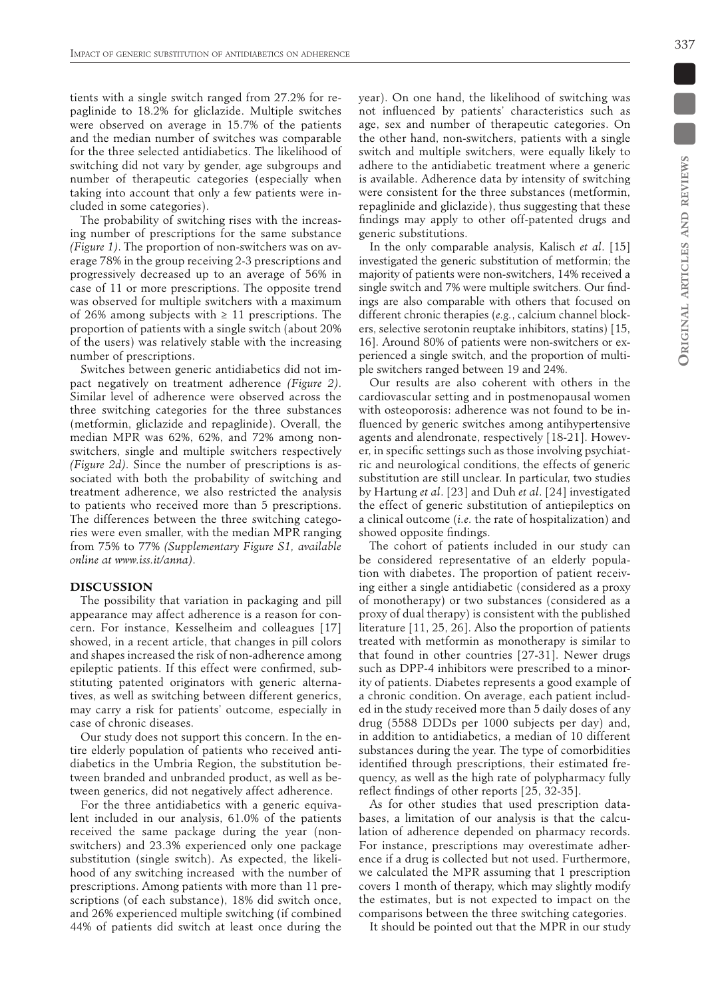tients with a single switch ranged from 27.2% for repaglinide to 18.2% for gliclazide. Multiple switches were observed on average in 15.7% of the patients and the median number of switches was comparable for the three selected antidiabetics. The likelihood of switching did not vary by gender, age subgroups and number of therapeutic categories (especially when taking into account that only a few patients were included in some categories).

The probability of switching rises with the increasing number of prescriptions for the same substance *(Figure 1)*. The proportion of non-switchers was on average 78% in the group receiving 2-3 prescriptions and progressively decreased up to an average of 56% in case of 11 or more prescriptions. The opposite trend was observed for multiple switchers with a maximum of 26% among subjects with  $\geq$  11 prescriptions. The proportion of patients with a single switch (about 20% of the users) was relatively stable with the increasing number of prescriptions.

Switches between generic antidiabetics did not impact negatively on treatment adherence *(Figure 2)*. Similar level of adherence were observed across the three switching categories for the three substances (metformin, gliclazide and repaglinide). Overall, the median MPR was 62%, 62%, and 72% among nonswitchers, single and multiple switchers respectively *(Figure 2d)*. Since the number of prescriptions is associated with both the probability of switching and treatment adherence, we also restricted the analysis to patients who received more than 5 prescriptions. The differences between the three switching categories were even smaller, with the median MPR ranging from 75% to 77% *(Supplementary Figure S1, available online at www.iss.it/anna)*.

#### **DISCUSSION**

The possibility that variation in packaging and pill appearance may affect adherence is a reason for concern. For instance, Kesselheim and colleagues [17] showed, in a recent article, that changes in pill colors and shapes increased the risk of non-adherence among epileptic patients. If this effect were confirmed, substituting patented originators with generic alternatives, as well as switching between different generics, may carry a risk for patients' outcome, especially in case of chronic diseases.

Our study does not support this concern. In the entire elderly population of patients who received antidiabetics in the Umbria Region, the substitution between branded and unbranded product, as well as between generics, did not negatively affect adherence.

For the three antidiabetics with a generic equivalent included in our analysis, 61.0% of the patients received the same package during the year (nonswitchers) and 23.3% experienced only one package substitution (single switch). As expected, the likelihood of any switching increased with the number of prescriptions. Among patients with more than 11 prescriptions (of each substance), 18% did switch once, and 26% experienced multiple switching (if combined 44% of patients did switch at least once during the

year). On one hand, the likelihood of switching was not influenced by patients' characteristics such as age, sex and number of therapeutic categories. On the other hand, non-switchers, patients with a single switch and multiple switchers, were equally likely to adhere to the antidiabetic treatment where a generic is available. Adherence data by intensity of switching were consistent for the three substances (metformin, repaglinide and gliclazide), thus suggesting that these findings may apply to other off-patented drugs and generic substitutions.

In the only comparable analysis, Kalisch *et al*. [15] investigated the generic substitution of metformin; the majority of patients were non-switchers, 14% received a single switch and 7% were multiple switchers. Our findings are also comparable with others that focused on different chronic therapies (*e.g.*, calcium channel blockers, selective serotonin reuptake inhibitors, statins) [15, 16]. Around 80% of patients were non-switchers or experienced a single switch, and the proportion of multiple switchers ranged between 19 and 24%.

Our results are also coherent with others in the cardiovascular setting and in postmenopausal women with osteoporosis: adherence was not found to be influenced by generic switches among antihypertensive agents and alendronate, respectively [18-21]. However, in specific settings such as those involving psychiatric and neurological conditions, the effects of generic substitution are still unclear. In particular, two studies by Hartung *et al*. [23] and Duh *et al*. [24] investigated the effect of generic substitution of antiepileptics on a clinical outcome (*i.e.* the rate of hospitalization) and showed opposite findings.

The cohort of patients included in our study can be considered representative of an elderly population with diabetes. The proportion of patient receiving either a single antidiabetic (considered as a proxy of monotherapy) or two substances (considered as a proxy of dual therapy) is consistent with the published literature [11, 25, 26]. Also the proportion of patients treated with metformin as monotherapy is similar to that found in other countries [27-31]. Newer drugs such as DPP-4 inhibitors were prescribed to a minority of patients. Diabetes represents a good example of a chronic condition. On average, each patient included in the study received more than 5 daily doses of any drug (5588 DDDs per 1000 subjects per day) and, in addition to antidiabetics, a median of 10 different substances during the year. The type of comorbidities identified through prescriptions, their estimated frequency, as well as the high rate of polypharmacy fully reflect findings of other reports [25, 32-35].

As for other studies that used prescription databases, a limitation of our analysis is that the calculation of adherence depended on pharmacy records. For instance, prescriptions may overestimate adherence if a drug is collected but not used. Furthermore, we calculated the MPR assuming that 1 prescription covers 1 month of therapy, which may slightly modify the estimates, but is not expected to impact on the comparisons between the three switching categories.

It should be pointed out that the MPR in our study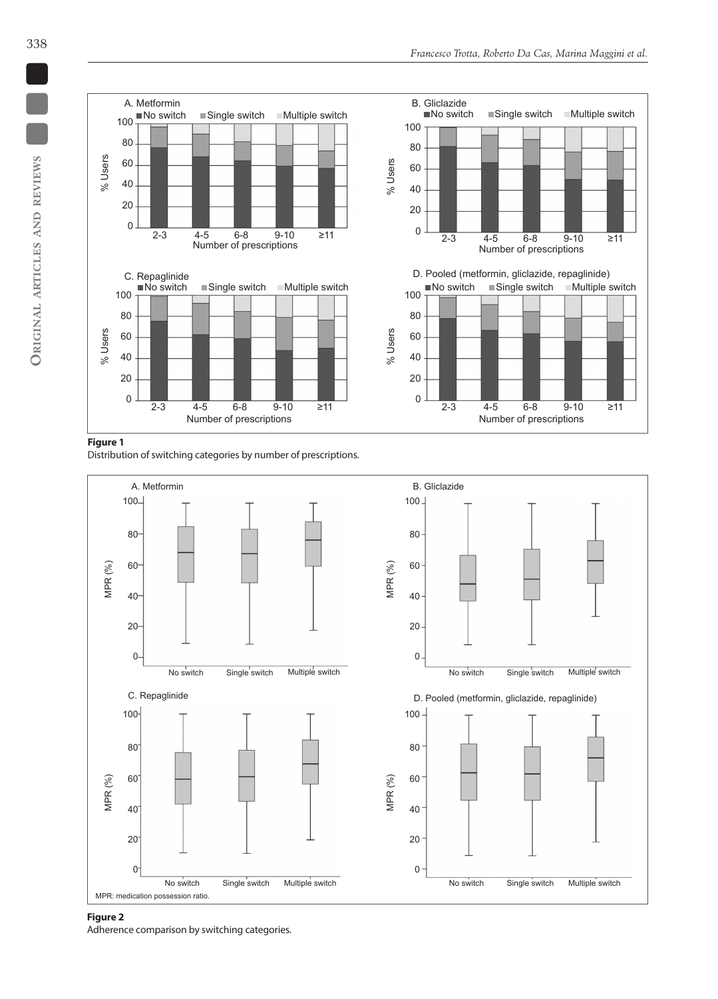

## **Figure 1**

Distribution of switching categories by number of prescriptions.



#### **Figure 2**

Adherence comparison by switching categories.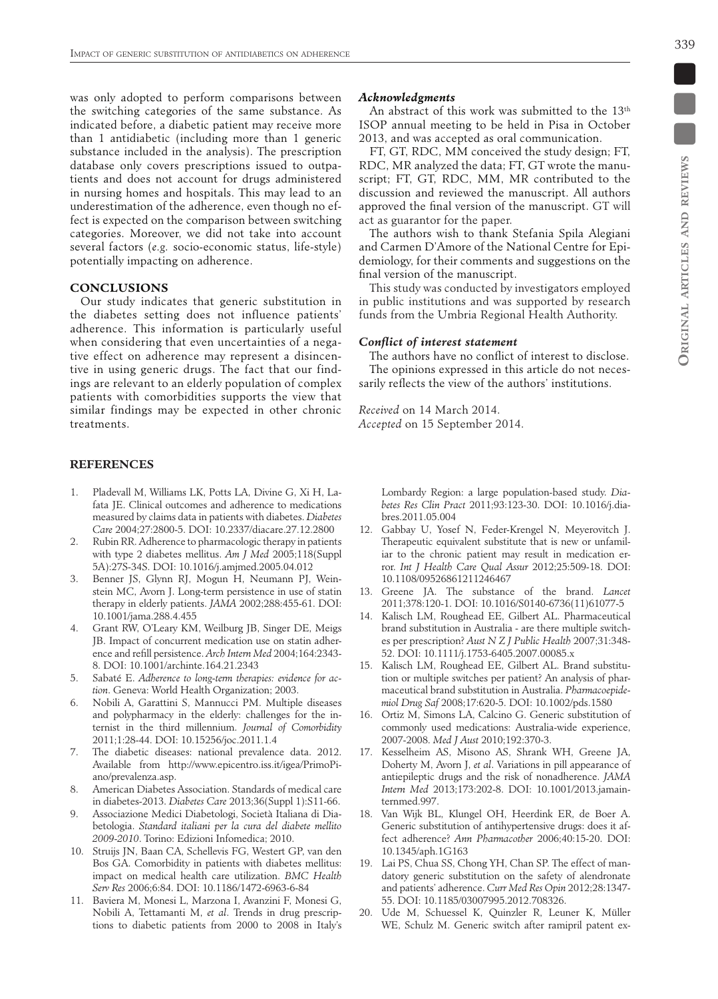339

was only adopted to perform comparisons between the switching categories of the same substance. As indicated before, a diabetic patient may receive more than 1 antidiabetic (including more than 1 generic substance included in the analysis). The prescription database only covers prescriptions issued to outpatients and does not account for drugs administered in nursing homes and hospitals. This may lead to an underestimation of the adherence, even though no effect is expected on the comparison between switching categories. Moreover, we did not take into account several factors (*e.g.* socio-economic status, life-style) potentially impacting on adherence.

#### **CONCLUSIONS**

Our study indicates that generic substitution in the diabetes setting does not influence patients' adherence. This information is particularly useful when considering that even uncertainties of a negative effect on adherence may represent a disincentive in using generic drugs. The fact that our findings are relevant to an elderly population of complex patients with comorbidities supports the view that similar findings may be expected in other chronic treatments.

## **References**

- 1. Pladevall M, Williams LK, Potts LA, Divine G, Xi H, Lafata JE. Clinical outcomes and adherence to medications measured by claims data in patients with diabetes. *Diabetes Care* 2004;27:2800-5. DOI: 10.2337/diacare.27.12.2800
- Rubin RR. Adherence to pharmacologic therapy in patients with type 2 diabetes mellitus. *Am J Med* 2005;118(Suppl 5A):27S-34S. DOI: 10.1016/j.amjmed.2005.04.012
- 3. Benner JS, Glynn RJ, Mogun H, Neumann PJ, Weinstein MC, Avorn J. Long-term persistence in use of statin therapy in elderly patients. *JAMA* 2002;288:455-61. DOI: 10.1001/jama.288.4.455
- 4. Grant RW, O'Leary KM, Weilburg JB, Singer DE, Meigs JB. Impact of concurrent medication use on statin adherence and refill persistence. *Arch Intern Med* 2004;164:2343- 8. DOI: 10.1001/archinte.164.21.2343
- 5. Sabaté E. *Adherence to long-term therapies: evidence for action*. Geneva: World Health Organization; 2003.
- 6. Nobili A, Garattini S, Mannucci PM. Multiple diseases and polypharmacy in the elderly: challenges for the internist in the third millennium. *Journal of Comorbidity* 2011;1:28-44. DOI: 10.15256/joc.2011.1.4
- The diabetic diseases: national prevalence data. 2012. Available from http://www.epicentro.iss.it/igea/PrimoPiano/prevalenza.asp.
- 8. American Diabetes Association. Standards of medical care in diabetes-2013. *Diabetes Care* 2013;36(Suppl 1):S11-66.
- 9. Associazione Medici Diabetologi, Società Italiana di Diabetologia. *Standard italiani per la cura del diabete mellito 2009*‑*2010*. Torino: Edizioni Infomedica; 2010.
- 10. Struijs JN, Baan CA, Schellevis FG, Westert GP, van den Bos GA. Comorbidity in patients with diabetes mellitus: impact on medical health care utilization. *BMC Health Serv Res* 2006;6:84. DOI: 10.1186/1472-6963-6-84
- 11. Baviera M, Monesi L, Marzona I, Avanzini F, Monesi G, Nobili A, Tettamanti M, *et al*. Trends in drug prescriptions to diabetic patients from 2000 to 2008 in Italy's

### *Acknowledgments*

An abstract of this work was submitted to the 13<sup>th</sup> ISOP annual meeting to be held in Pisa in October 2013, and was accepted as oral communication.

FT, GT, RDC, MM conceived the study design; FT, RDC, MR analyzed the data; FT, GT wrote the manuscript; FT, GT, RDC, MM, MR contributed to the discussion and reviewed the manuscript. All authors approved the final version of the manuscript. GT will act as guarantor for the paper.

The authors wish to thank Stefania Spila Alegiani and Carmen D'Amore of the National Centre for Epidemiology, for their comments and suggestions on the final version of the manuscript.

This study was conducted by investigators employed in public institutions and was supported by research funds from the Umbria Regional Health Authority.

## *Conflict of interest statement*

The authors have no conflict of interest to disclose. The opinions expressed in this article do not necessarily reflects the view of the authors' institutions.

*Received* on 14 March 2014. *Accepted* on 15 September 2014.

> Lombardy Region: a large population-based study. *Diabetes Res Clin Pract* 2011;93:123-30. DOI: 10.1016/j.diabres.2011.05.004

- 12. Gabbay U, Yosef N, Feder-Krengel N, Meyerovitch J. Therapeutic equivalent substitute that is new or unfamiliar to the chronic patient may result in medication error. *Int J Health Care Qual Assur* 2012;25:509-18. DOI: 10.1108/09526861211246467
- 13. Greene JA. The substance of the brand. *Lancet* 2011;378:120-1. DOI: 10.1016/S0140-6736(11)61077-5
- 14. Kalisch LM, Roughead EE, Gilbert AL. Pharmaceutical brand substitution in Australia - are there multiple switches per prescription? *Aust N Z J Public Health* 2007;31:348- 52. DOI: 10.1111/j.1753-6405.2007.00085.x
- 15. Kalisch LM, Roughead EE, Gilbert AL. Brand substitution or multiple switches per patient? An analysis of pharmaceutical brand substitution in Australia. *Pharmacoepidemiol Drug Saf* 2008;17:620-5. DOI: 10.1002/pds.1580
- 16. Ortiz M, Simons LA, Calcino G. Generic substitution of commonly used medications: Australia-wide experience, 2007-2008. *Med J Aust* 2010;192:370-3.
- 17. Kesselheim AS, Misono AS, Shrank WH, Greene JA, Doherty M, Avorn J, *et al*. Variations in pill appearance of antiepileptic drugs and the risk of nonadherence. *JAMA Intern Med* 2013;173:202-8. DOI: 10.1001/2013.jamainternmed.997.
- 18. Van Wijk BL, Klungel OH, Heerdink ER, de Boer A. Generic substitution of antihypertensive drugs: does it affect adherence? *Ann Pharmacother* 2006;40:15-20. DOI: 10.1345/aph.1G163
- 19. Lai PS, Chua SS, Chong YH, Chan SP. The effect of mandatory generic substitution on the safety of alendronate and patients' adherence. *Curr Med Res Opin* 2012;28:1347- 55. DOI: 10.1185/03007995.2012.708326.
- 20. Ude M, Schuessel K, Quinzler R, Leuner K, Müller WE, Schulz M. Generic switch after ramipril patent ex-